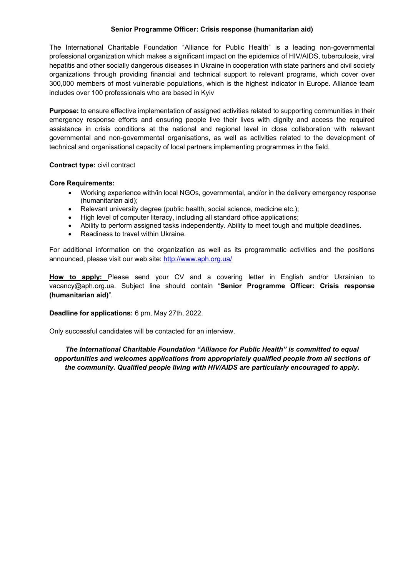#### **Senior Programme Officer: Crisis response (humanitarian aid)**

The International Charitable Foundation "Alliance for Public Health" is a leading non-governmental professional organization which makes a significant impact on the epidemics of HIV/AIDS, tuberculosis, viral hepatitis and other socially dangerous diseases in Ukraine in cooperation with state partners and civil society organizations through providing financial and technical support to relevant programs, which cover over 300,000 members of most vulnerable populations, which is the highest indicator in Europe. Alliance team includes over 100 professionals who are based in Kyiv

**Purpose:** to ensure effective implementation of assigned activities related to supporting communities in their emergency response efforts and ensuring people live their lives with dignity and access the required assistance in crisis conditions at the national and regional level in close collaboration with relevant governmental and non-governmental organisations, as well as activities related to the development of technical and organisational capacity of local partners implementing programmes in the field.

## **Contract type:** civil contract

## **Core Requirements:**

- Working experience with/in local NGOs, governmental, and/or in the delivery emergency response (humanitarian aid);
- Relevant university degree (public health, social science, medicine etc.);
- High level of computer literacy, including all standard office applications;
- Ability to perform assigned tasks independently. Ability to meet tough and multiple deadlines.
- Readiness to travel within Ukraine.

For additional information on the organization as well as its programmatic activities and the positions announced, please visit our web site: http://www.aph.org.ua/

**How to apply:** Please send your CV and a covering letter in English and/or Ukrainian to vacancy@aph.org.ua. Subject line should contain "**Senior Programme Officer: Crisis response (humanitarian aid)**".

# **Deadline for applications:** 6 pm, May 27th, 2022.

Only successful candidates will be contacted for an interview.

*The International Charitable Foundation "Alliance for Public Health" is committed to equal opportunities and welcomes applications from appropriately qualified people from all sections of the community. Qualified people living with HIV/AIDS are particularly encouraged to apply.*